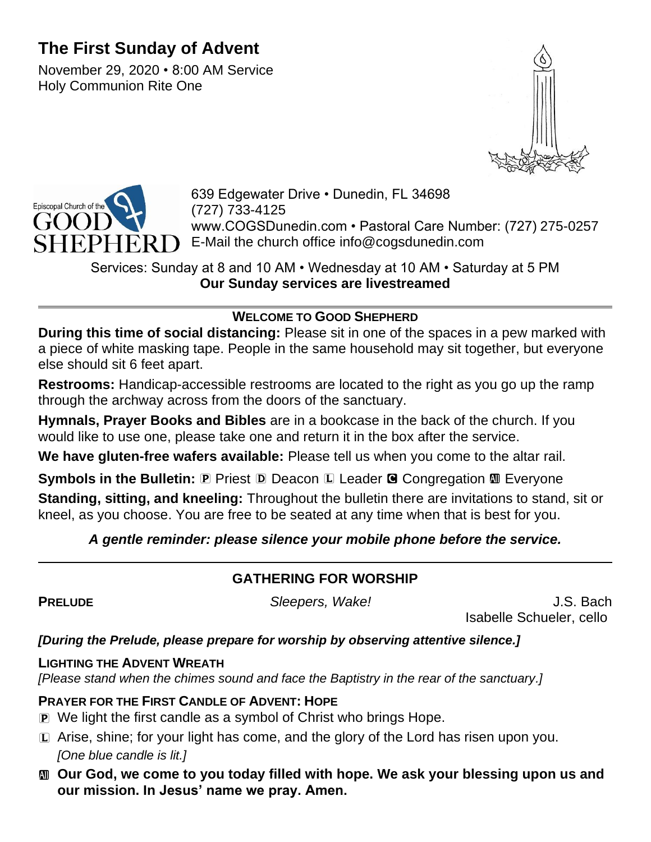# **The First Sunday of Advent**

November 29, 2020 • 8:00 AM Service Holy Communion Rite One





639 Edgewater Drive • Dunedin, FL 34698 (727) 733-4125 www.COGSDunedin.com • Pastoral Care Number: (727) 275-0257 E-Mail the church office info@cogsdunedin.com

Services: Sunday at 8 and 10 AM • Wednesday at 10 AM • Saturday at 5 PM **Our Sunday services are livestreamed**

## **WELCOME TO GOOD SHEPHERD**

**During this time of social distancing:** Please sit in one of the spaces in a pew marked with a piece of white masking tape. People in the same household may sit together, but everyone else should sit 6 feet apart.

**Restrooms:** Handicap-accessible restrooms are located to the right as you go up the ramp through the archway across from the doors of the sanctuary.

**Hymnals, Prayer Books and Bibles** are in a bookcase in the back of the church. If you would like to use one, please take one and return it in the box after the service.

**We have gluten-free wafers available:** Please tell us when you come to the altar rail.

**Symbols in the Bulletin: P** Priest **D** Deacon **L** Leader **G** Congregation **M** Everyone

**Standing, sitting, and kneeling:** Throughout the bulletin there are invitations to stand, sit or kneel, as you choose. You are free to be seated at any time when that is best for you.

# *A gentle reminder: please silence your mobile phone before the service.*

# **GATHERING FOR WORSHIP**

**PRELUDE** *Sleepers, Wake!* J.S. Bach Isabelle Schueler, cello

*[During the Prelude, please prepare for worship by observing attentive silence.]*

#### **LIGHTING THE ADVENT WREATH**

*[Please stand when the chimes sound and face the Baptistry in the rear of the sanctuary.]*

# **PRAYER FOR THE FIRST CANDLE OF ADVENT: HOPE**

- P We light the first candle as a symbol of Christ who brings Hope.
- L Arise, shine; for your light has come, and the glory of the Lord has risen upon you. *[One blue candle is lit.]*
- **m** Our God, we come to you today filled with hope. We ask your blessing upon us and **our mission. In Jesus' name we pray. Amen.**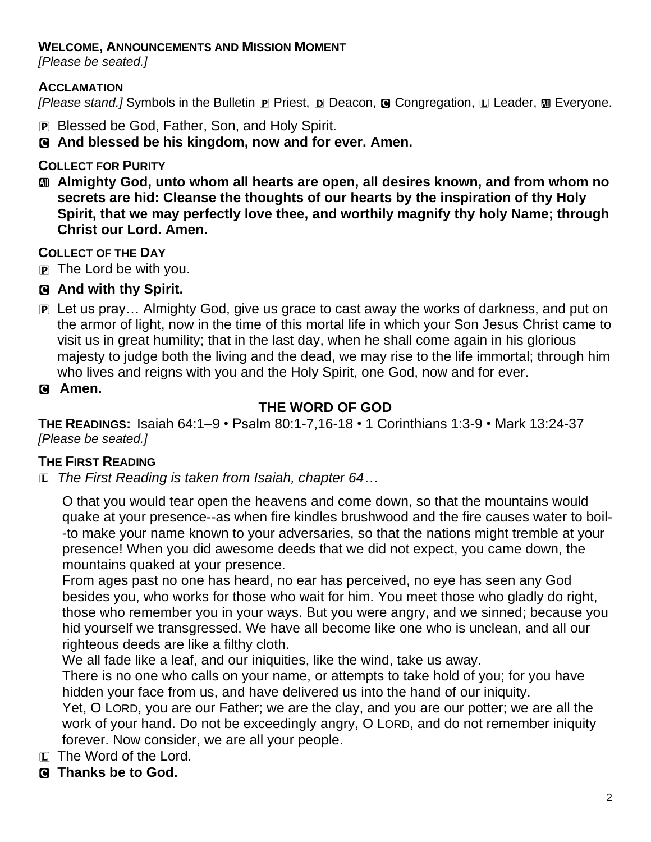#### **WELCOME, ANNOUNCEMENTS AND MISSION MOMENT**

*[Please be seated.]*

#### **ACCLAMATION**

*[Please stand.]* Symbols in the Bulletin **P** Priest, **D** Deacon, **G** Congregation, **L** Leader, **M** Everyone.

- P Blessed be God, Father, Son, and Holy Spirit.
- C **And blessed be his kingdom, now and for ever. Amen.**

#### **COLLECT FOR PURITY**

a **Almighty God, unto whom all hearts are open, all desires known, and from whom no secrets are hid: Cleanse the thoughts of our hearts by the inspiration of thy Holy Spirit, that we may perfectly love thee, and worthily magnify thy holy Name; through Christ our Lord. Amen.**

#### **COLLECT OF THE DAY**

 $\overline{p}$  The Lord be with you.

## C **And with thy Spirit.**

- P Let us pray… Almighty God, give us grace to cast away the works of darkness, and put on the armor of light, now in the time of this mortal life in which your Son Jesus Christ came to visit us in great humility; that in the last day, when he shall come again in his glorious majesty to judge both the living and the dead, we may rise to the life immortal; through him who lives and reigns with you and the Holy Spirit, one God, now and for ever.
- C **Amen.**

# **THE WORD OF GOD**

**THE READINGS:** Isaiah 64:1–9 • Psalm 80:1-7,16-18 • 1 Corinthians 1:3-9 • Mark 13:24-37 *[Please be seated.]*

## **THE FIRST READING**

L *The First Reading is taken from Isaiah, chapter 64…*

O that you would tear open the heavens and come down, so that the mountains would quake at your presence--as when fire kindles brushwood and the fire causes water to boil- -to make your name known to your adversaries, so that the nations might tremble at your presence! When you did awesome deeds that we did not expect, you came down, the mountains quaked at your presence.

From ages past no one has heard, no ear has perceived, no eye has seen any God besides you, who works for those who wait for him. You meet those who gladly do right, those who remember you in your ways. But you were angry, and we sinned; because you hid yourself we transgressed. We have all become like one who is unclean, and all our righteous deeds are like a filthy cloth.

We all fade like a leaf, and our iniquities, like the wind, take us away.

There is no one who calls on your name, or attempts to take hold of you; for you have hidden your face from us, and have delivered us into the hand of our iniquity.

Yet, O LORD, you are our Father; we are the clay, and you are our potter; we are all the work of your hand. Do not be exceedingly angry, O LORD, and do not remember iniquity forever. Now consider, we are all your people.

- L The Word of the Lord.
- C **Thanks be to God.**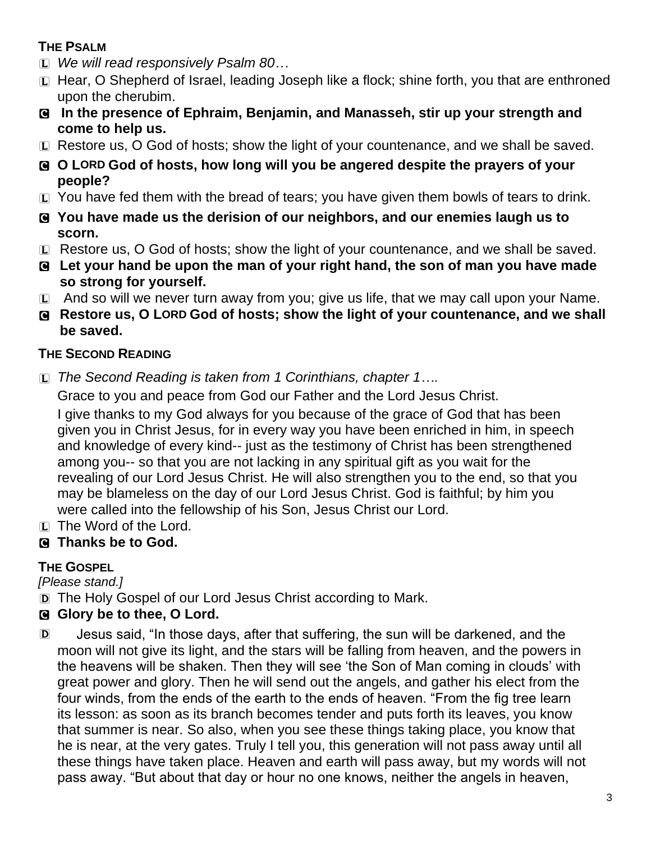## **THE PSALM**

- L *We will read responsively Psalm 80…*
- L Hear, O Shepherd of Israel, leading Joseph like a flock; shine forth, you that are enthroned upon the cherubim.
- C **In the presence of Ephraim, Benjamin, and Manasseh, stir up your strength and come to help us.**
- L Restore us, O God of hosts; show the light of your countenance, and we shall be saved.
- C **O LORD God of hosts, how long will you be angered despite the prayers of your people?**
- L You have fed them with the bread of tears; you have given them bowls of tears to drink.
- C **You have made us the derision of our neighbors, and our enemies laugh us to scorn.**
- L Restore us, O God of hosts; show the light of your countenance, and we shall be saved.
- C **Let your hand be upon the man of your right hand, the son of man you have made so strong for yourself.**
- $\Box$  And so will we never turn away from you; give us life, that we may call upon your Name.
- C **Restore us, O LORD God of hosts; show the light of your countenance, and we shall be saved.**

#### **THE SECOND READING**

L *The Second Reading is taken from 1 Corinthians, chapter 1….*

Grace to you and peace from God our Father and the Lord Jesus Christ.

I give thanks to my God always for you because of the grace of God that has been given you in Christ Jesus, for in every way you have been enriched in him, in speech and knowledge of every kind-- just as the testimony of Christ has been strengthened among you-- so that you are not lacking in any spiritual gift as you wait for the revealing of our Lord Jesus Christ. He will also strengthen you to the end, so that you may be blameless on the day of our Lord Jesus Christ. God is faithful; by him you were called into the fellowship of his Son, Jesus Christ our Lord.

- L The Word of the Lord.
- C **Thanks be to God.**

# **THE GOSPEL**

*[Please stand.]*

- D The Holy Gospel of our Lord Jesus Christ according to Mark.
- **G** Glory be to thee, O Lord.
- D Jesus said, "In those days, after that suffering, the sun will be darkened, and the moon will not give its light, and the stars will be falling from heaven, and the powers in the heavens will be shaken. Then they will see 'the Son of Man coming in clouds' with great power and glory. Then he will send out the angels, and gather his elect from the four winds, from the ends of the earth to the ends of heaven. "From the fig tree learn its lesson: as soon as its branch becomes tender and puts forth its leaves, you know that summer is near. So also, when you see these things taking place, you know that he is near, at the very gates. Truly I tell you, this generation will not pass away until all these things have taken place. Heaven and earth will pass away, but my words will not pass away. "But about that day or hour no one knows, neither the angels in heaven,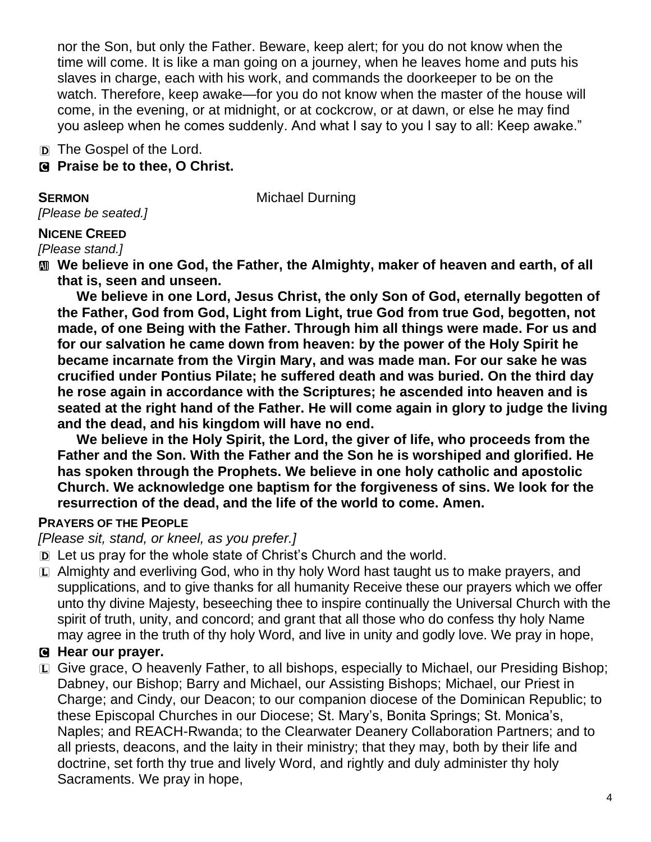nor the Son, but only the Father. Beware, keep alert; for you do not know when the time will come. It is like a man going on a journey, when he leaves home and puts his slaves in charge, each with his work, and commands the doorkeeper to be on the watch. Therefore, keep awake—for you do not know when the master of the house will come, in the evening, or at midnight, or at cockcrow, or at dawn, or else he may find you asleep when he comes suddenly. And what I say to you I say to all: Keep awake."

D The Gospel of the Lord.

#### C **Praise be to thee, O Christ.**

**SERMON** Michael Durning

*[Please be seated.]*

#### **NICENE CREED**

*[Please stand.]*

**M** We believe in one God, the Father, the Almighty, maker of heaven and earth, of all **that is, seen and unseen.** 

**We believe in one Lord, Jesus Christ, the only Son of God, eternally begotten of the Father, God from God, Light from Light, true God from true God, begotten, not made, of one Being with the Father. Through him all things were made. For us and for our salvation he came down from heaven: by the power of the Holy Spirit he became incarnate from the Virgin Mary, and was made man. For our sake he was crucified under Pontius Pilate; he suffered death and was buried. On the third day he rose again in accordance with the Scriptures; he ascended into heaven and is seated at the right hand of the Father. He will come again in glory to judge the living and the dead, and his kingdom will have no end.**

**We believe in the Holy Spirit, the Lord, the giver of life, who proceeds from the Father and the Son. With the Father and the Son he is worshiped and glorified. He has spoken through the Prophets. We believe in one holy catholic and apostolic Church. We acknowledge one baptism for the forgiveness of sins. We look for the resurrection of the dead, and the life of the world to come. Amen.**

#### **PRAYERS OF THE PEOPLE**

*[Please sit, stand, or kneel, as you prefer.]*

D Let us pray for the whole state of Christ's Church and the world.

 $\Box$  Almighty and everliving God, who in thy holy Word hast taught us to make prayers, and supplications, and to give thanks for all humanity Receive these our prayers which we offer unto thy divine Majesty, beseeching thee to inspire continually the Universal Church with the spirit of truth, unity, and concord; and grant that all those who do confess thy holy Name may agree in the truth of thy holy Word, and live in unity and godly love. We pray in hope,

## C **Hear our prayer.**

 $\Box$  Give grace, O heavenly Father, to all bishops, especially to Michael, our Presiding Bishop; Dabney, our Bishop; Barry and Michael, our Assisting Bishops; Michael, our Priest in Charge; and Cindy, our Deacon; to our companion diocese of the Dominican Republic; to these Episcopal Churches in our Diocese; St. Mary's, Bonita Springs; St. Monica's, Naples; and REACH-Rwanda; to the Clearwater Deanery Collaboration Partners; and to all priests, deacons, and the laity in their ministry; that they may, both by their life and doctrine, set forth thy true and lively Word, and rightly and duly administer thy holy Sacraments. We pray in hope,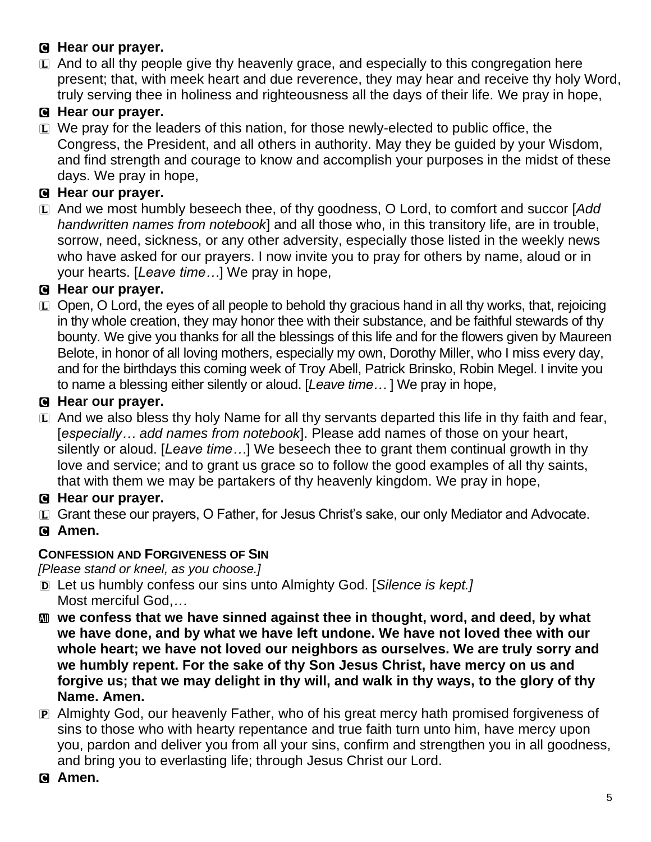# C **Hear our prayer.**

 $E$  And to all thy people give thy heavenly grace, and especially to this congregation here present; that, with meek heart and due reverence, they may hear and receive thy holy Word, truly serving thee in holiness and righteousness all the days of their life. We pray in hope,

# C **Hear our prayer.**

L We pray for the leaders of this nation, for those newly-elected to public office, the Congress, the President, and all others in authority. May they be guided by your Wisdom, and find strength and courage to know and accomplish your purposes in the midst of these days. We pray in hope,

# C **Hear our prayer.**

L And we most humbly beseech thee, of thy goodness, O Lord, to comfort and succor [*Add handwritten names from notebook*] and all those who, in this transitory life, are in trouble, sorrow, need, sickness, or any other adversity, especially those listed in the weekly news who have asked for our prayers. I now invite you to pray for others by name, aloud or in your hearts. [*Leave time…*] We pray in hope,

# C **Hear our prayer.**

 $E$  Open, O Lord, the eyes of all people to behold thy gracious hand in all thy works, that, rejoicing in thy whole creation, they may honor thee with their substance, and be faithful stewards of thy bounty. We give you thanks for all the blessings of this life and for the flowers given by Maureen Belote, in honor of all loving mothers, especially my own, Dorothy Miller, who I miss every day, and for the birthdays this coming week of Troy Abell, Patrick Brinsko, Robin Megel. I invite you to name a blessing either silently or aloud. [*Leave time…* ] We pray in hope,

## C **Hear our prayer.**

 $E$  And we also bless thy holy Name for all thy servants departed this life in thy faith and fear, [*especially… add names from notebook*]. Please add names of those on your heart, silently or aloud. [*Leave time…*] We beseech thee to grant them continual growth in thy love and service; and to grant us grace so to follow the good examples of all thy saints, that with them we may be partakers of thy heavenly kingdom. We pray in hope,

## C **Hear our prayer.**

- L Grant these our prayers, O Father, for Jesus Christ's sake, our only Mediator and Advocate.
- C **Amen.**

## **CONFESSION AND FORGIVENESS OF SIN**

*[Please stand or kneel, as you choose.]*

- D Let us humbly confess our sins unto Almighty God. [*Silence is kept.]*  Most merciful God,*…*
- **M** we confess that we have sinned against thee in thought, word, and deed, by what **we have done, and by what we have left undone. We have not loved thee with our whole heart; we have not loved our neighbors as ourselves. We are truly sorry and we humbly repent. For the sake of thy Son Jesus Christ, have mercy on us and forgive us; that we may delight in thy will, and walk in thy ways, to the glory of thy Name. Amen.**
- P Almighty God, our heavenly Father, who of his great mercy hath promised forgiveness of sins to those who with hearty repentance and true faith turn unto him, have mercy upon you, pardon and deliver you from all your sins, confirm and strengthen you in all goodness, and bring you to everlasting life; through Jesus Christ our Lord.

#### C **Amen.**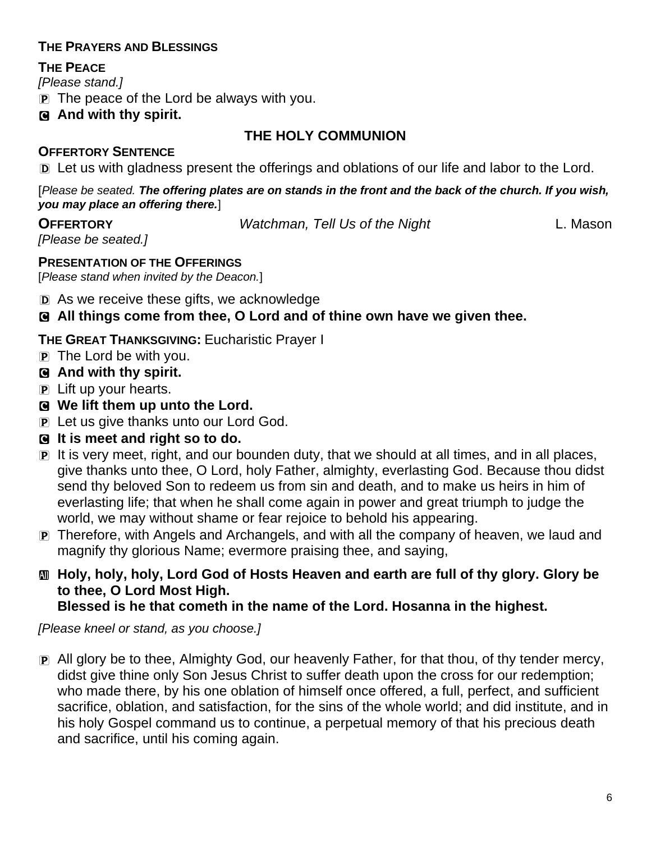## **THE PRAYERS AND BLESSINGS**

#### **THE PEACE**

*[Please stand.]*

 $\mathbf{P}$  The peace of the Lord be always with you.

C **And with thy spirit.**

# **THE HOLY COMMUNION**

#### **OFFERTORY SENTENCE**

D Let us with gladness present the offerings and oblations of our life and labor to the Lord.

[*Please be seated. The offering plates are on stands in the front and the back of the church. If you wish, you may place an offering there.*]

*[Please be seated.]*

**OFFERTORY** *Watchman, Tell Us of the Night* L. Mason

# **PRESENTATION OF THE OFFERINGS**

[*Please stand when invited by the Deacon.*]

D As we receive these gifts, we acknowledge

C **All things come from thee, O Lord and of thine own have we given thee.**

**THE GREAT THANKSGIVING:** Eucharistic Prayer I

- P The Lord be with you.
- C **And with thy spirit.**
- P Lift up your hearts.
- C **We lift them up unto the Lord.**
- P Let us give thanks unto our Lord God.
- C **It is meet and right so to do.**
- P It is very meet, right, and our bounden duty, that we should at all times, and in all places, give thanks unto thee, O Lord, holy Father, almighty, everlasting God. Because thou didst send thy beloved Son to redeem us from sin and death, and to make us heirs in him of everlasting life; that when he shall come again in power and great triumph to judge the world, we may without shame or fear rejoice to behold his appearing.
- P Therefore, with Angels and Archangels, and with all the company of heaven, we laud and magnify thy glorious Name; evermore praising thee, and saying,

# a **Holy, holy, holy, Lord God of Hosts Heaven and earth are full of thy glory. Glory be to thee, O Lord Most High.**

## **Blessed is he that cometh in the name of the Lord. Hosanna in the highest.**

*[Please kneel or stand, as you choose.]*

P All glory be to thee, Almighty God, our heavenly Father, for that thou, of thy tender mercy, didst give thine only Son Jesus Christ to suffer death upon the cross for our redemption; who made there, by his one oblation of himself once offered, a full, perfect, and sufficient sacrifice, oblation, and satisfaction, for the sins of the whole world; and did institute, and in his holy Gospel command us to continue, a perpetual memory of that his precious death and sacrifice, until his coming again.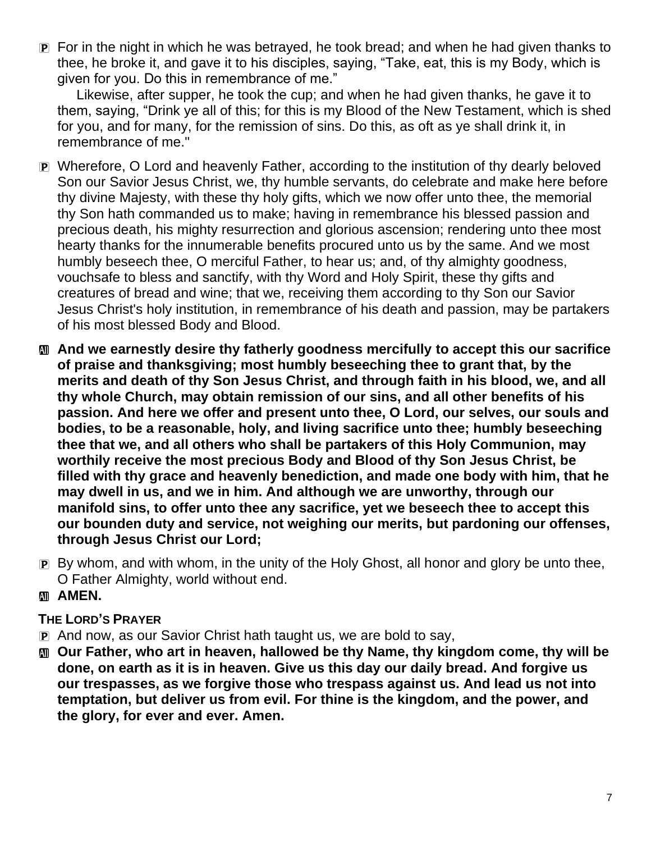P For in the night in which he was betrayed, he took bread; and when he had given thanks to thee, he broke it, and gave it to his disciples, saying, "Take, eat, this is my Body, which is given for you. Do this in remembrance of me."

Likewise, after supper, he took the cup; and when he had given thanks, he gave it to them, saying, "Drink ye all of this; for this is my Blood of the New Testament, which is shed for you, and for many, for the remission of sins. Do this, as oft as ye shall drink it, in remembrance of me."

- P Wherefore, O Lord and heavenly Father, according to the institution of thy dearly beloved Son our Savior Jesus Christ, we, thy humble servants, do celebrate and make here before thy divine Majesty, with these thy holy gifts, which we now offer unto thee, the memorial thy Son hath commanded us to make; having in remembrance his blessed passion and precious death, his mighty resurrection and glorious ascension; rendering unto thee most hearty thanks for the innumerable benefits procured unto us by the same. And we most humbly beseech thee, O merciful Father, to hear us; and, of thy almighty goodness, vouchsafe to bless and sanctify, with thy Word and Holy Spirit, these thy gifts and creatures of bread and wine; that we, receiving them according to thy Son our Savior Jesus Christ's holy institution, in remembrance of his death and passion, may be partakers of his most blessed Body and Blood.
- a **And we earnestly desire thy fatherly goodness mercifully to accept this our sacrifice of praise and thanksgiving; most humbly beseeching thee to grant that, by the merits and death of thy Son Jesus Christ, and through faith in his blood, we, and all thy whole Church, may obtain remission of our sins, and all other benefits of his passion. And here we offer and present unto thee, O Lord, our selves, our souls and bodies, to be a reasonable, holy, and living sacrifice unto thee; humbly beseeching thee that we, and all others who shall be partakers of this Holy Communion, may worthily receive the most precious Body and Blood of thy Son Jesus Christ, be filled with thy grace and heavenly benediction, and made one body with him, that he may dwell in us, and we in him. And although we are unworthy, through our manifold sins, to offer unto thee any sacrifice, yet we beseech thee to accept this our bounden duty and service, not weighing our merits, but pardoning our offenses, through Jesus Christ our Lord;**
- P By whom, and with whom, in the unity of the Holy Ghost, all honor and glory be unto thee, O Father Almighty, world without end.

# **M** AMEN.

# **THE LORD'S PRAYER**

- P And now, as our Savior Christ hath taught us, we are bold to say,
- $\text{M}$  **Our Father, who art in heaven, hallowed be thy Name, thy kingdom come, thy will be done, on earth as it is in heaven. Give us this day our daily bread. And forgive us our trespasses, as we forgive those who trespass against us. And lead us not into temptation, but deliver us from evil. For thine is the kingdom, and the power, and the glory, for ever and ever. Amen.**